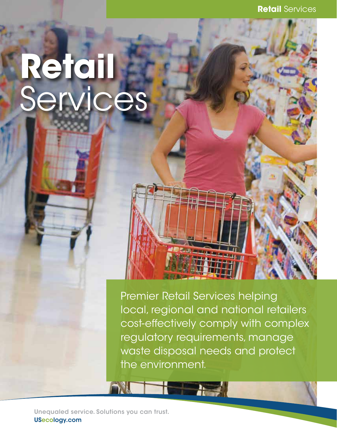**Retail Services** 

## Retail Services

Premier Retail Services helping local, regional and national retailers cost-effectively comply with complex regulatory requirements, manage waste disposal needs and protect the environment.

The Assessment

Unequaled service. Solutions you can trust. USecology.com